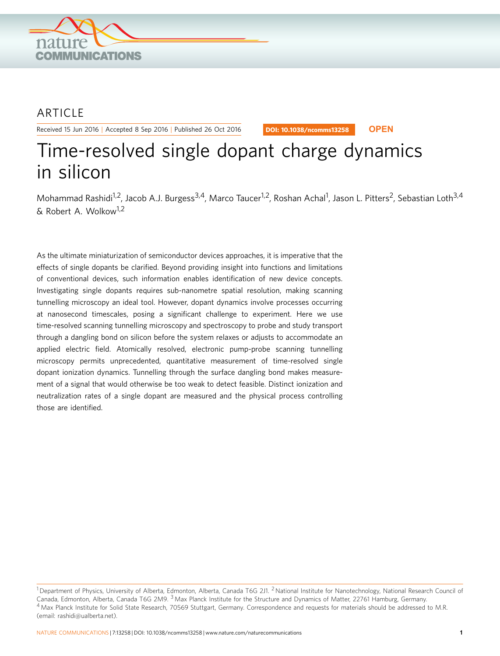

# **ARTICLE**

Received 15 Jun 2016 | Accepted 8 Sep 2016 | Published 26 Oct 2016

DOI: 10.1038/ncomms13258 **OPEN**

# Time-resolved single dopant charge dynamics in silicon

Mohammad Rashidi<sup>1,2</sup>, Jacob A.J. Burgess<sup>3,4</sup>, Marco Taucer<sup>1,2</sup>, Roshan Achal<sup>1</sup>, Jason L. Pitters<sup>2</sup>, Sebastian Loth<sup>3,4</sup> & Robert A. Wolkow1,2

As the ultimate miniaturization of semiconductor devices approaches, it is imperative that the effects of single dopants be clarified. Beyond providing insight into functions and limitations of conventional devices, such information enables identification of new device concepts. Investigating single dopants requires sub-nanometre spatial resolution, making scanning tunnelling microscopy an ideal tool. However, dopant dynamics involve processes occurring at nanosecond timescales, posing a significant challenge to experiment. Here we use time-resolved scanning tunnelling microscopy and spectroscopy to probe and study transport through a dangling bond on silicon before the system relaxes or adjusts to accommodate an applied electric field. Atomically resolved, electronic pump-probe scanning tunnelling microscopy permits unprecedented, quantitative measurement of time-resolved single dopant ionization dynamics. Tunnelling through the surface dangling bond makes measurement of a signal that would otherwise be too weak to detect feasible. Distinct ionization and neutralization rates of a single dopant are measured and the physical process controlling those are identified.

 $^1$ Department of Physics, University of Alberta, Edmonton, Alberta, Canada T6G 2J1. <sup>2</sup> National Institute for Nanotechnology, National Research Council of Canada, Edmonton, Alberta, Canada T6G 2M9.<sup>3</sup> Max Planck Institute for the Structure and Dynamics of Matter, 22761 Hamburg, Germany. <sup>4</sup> Max Planck Institute for Solid State Research, 70569 Stuttgart, Germany. Correspondence and requests for materials should be addressed to M.R. (email: [rashidi@ualberta.net](mailto:rashidi@ualberta.net)).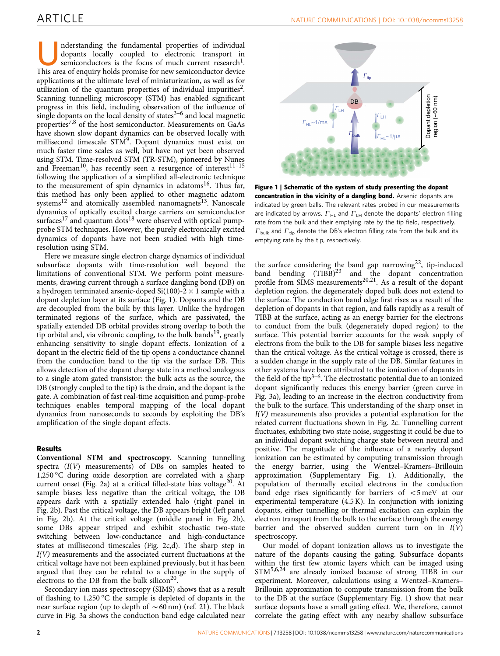<span id="page-1-0"></span>Inderstanding the fundamental properties of individual<br>dopants locally coupled to electronic transport in<br>semiconductors is the focus of much current research<sup>1</sup>.<br>This area of enquiry holds promise for new semiconductor de dopants locally coupled to electronic transport in This area of enquiry holds promise for new semiconductor device applications at the ultimate level of miniaturization, as well as for utilization of the quantum properties of individual impurities<sup>2</sup>. Scanning tunnelling microscopy (STM) has enabled significant progress in this field, including observation of the influence of single dopants on the local density of states $3-6$  and local magnetic properties<sup>[7,8](#page-5-0)</sup> of the host semiconductor. Measurements on GaAs have shown slow dopant dynamics can be observed locally with millisecond timescale STM<sup>[9](#page-6-0)</sup>. Dopant dynamics must exist on much faster time scales as well, but have not yet been observed using STM. Time-resolved STM (TR-STM), pioneered by Nunes and Freeman<sup>[10](#page-6-0)</sup>, has recently seen a resurgence of interest<sup>11-15</sup> following the application of a simplified all-electronic technique to the measurement of spin dynamics in adatoms<sup>16</sup>. Thus far, this method has only been applied to other magnetic adatom systems<sup>[12](#page-6-0)</sup> and atomically assembled nanomagnets<sup>13</sup>. Nanoscale dynamics of optically excited charge carriers on semiconductor surfaces $^{17}$  $^{17}$  $^{17}$  and quantum dots $^{18}$  $^{18}$  $^{18}$  were observed with optical pumpprobe STM techniques. However, the purely electronically excited dynamics of dopants have not been studied with high timeresolution using STM.

Here we measure single electron charge dynamics of individual subsurface dopants with time-resolution well beyond the limitations of conventional STM. We perform point measurements, drawing current through a surface dangling bond (DB) on a hydrogen terminated arsenic-doped Si(100)-2  $\times$  1 sample with a dopant depletion layer at its surface (Fig. 1). Dopants and the DB are decoupled from the bulk by this layer. Unlike the hydrogen terminated regions of the surface, which are passivated, the spatially extended DB orbital provides strong overlap to both the tip orbital and, via vibronic coupling, to the bulk bands<sup>19</sup>, greatly enhancing sensitivity to single dopant effects. Ionization of a dopant in the electric field of the tip opens a conductance channel from the conduction band to the tip via the surface DB. This allows detection of the dopant charge state in a method analogous to a single atom gated transistor: the bulk acts as the source, the DB (strongly coupled to the tip) is the drain, and the dopant is the gate. A combination of fast real-time acquisition and pump-probe techniques enables temporal mapping of the local dopant dynamics from nanoseconds to seconds by exploiting the DB's amplification of the single dopant effects.

# Results

Conventional STM and spectroscopy. Scanning tunnelling spectra (I(V) measurements) of DBs on samples heated to 1,250 °C during oxide desorption are correlated with a sharp current onset ([Fig. 2a\)](#page-2-0) at a critical filled-state bias voltage<sup>20</sup>. At sample biases less negative than the critical voltage, the DB appears dark with a spatially extended halo (right panel in [Fig. 2b](#page-2-0)). Past the critical voltage, the DB appears bright (left panel in [Fig. 2b\)](#page-2-0). At the critical voltage (middle panel in [Fig. 2b](#page-2-0)), some DBs appear striped and exhibit stochastic two-state switching between low-conductance and high-conductance states at millisecond timescales [\(Fig. 2c,d](#page-2-0)). The sharp step in I(V) measurements and the associated current fluctuations at the critical voltage have not been explained previously, but it has been argued that they can be related to a change in the supply of electrons to the DB from the bulk silicon<sup>[20](#page-6-0)</sup>.

Secondary ion mass spectroscopy (SIMS) shows that as a result of flashing to  $1,250\text{ °C}$  the sample is depleted of dopants in the near surface region (up to depth of  $\sim$  60 nm) [\(ref. 21](#page-6-0)). The black curve in [Fig. 3a](#page-3-0) shows the conduction band edge calculated near



Figure 1 | Schematic of the system of study presenting the dopant concentration in the vicinity of a dangling bond. Arsenic dopants are indicated by green balls. The relevant rates probed in our measurements are indicated by arrows.  $\Gamma_{HL}$  and  $\Gamma_{LH}$  denote the dopants' electron filling rate from the bulk and their emptying rate by the tip field, respectively.  $\varGamma_{\text{\rm bulk}}$  and  $\varGamma_{\text{\rm tip}}$  denote the DB's electron filling rate from the bulk and its emptying rate by the tip, respectively.

the surface considering the band gap narrowing<sup>22</sup>, tip-induced band bending  $(TIBB)^{23}$  $(TIBB)^{23}$  $(TIBB)^{23}$  and the dopant concentration profile from  $\widetilde{SIMS}$  measurements<sup>[20,21](#page-6-0)</sup>. As a result of the dopant depletion region, the degenerately doped bulk does not extend to the surface. The conduction band edge first rises as a result of the depletion of dopants in that region, and falls rapidly as a result of TIBB at the surface, acting as an energy barrier for the electrons to conduct from the bulk (degenerately doped region) to the surface. This potential barrier accounts for the weak supply of electrons from the bulk to the DB for sample biases less negative than the critical voltage. As the critical voltage is crossed, there is a sudden change in the supply rate of the DB. Similar features in other systems have been attributed to the ionization of dopants in the field of the tip<sup>3–6</sup>. The electrostatic potential due to an ionized dopant significantly reduces this energy barrier (green curve in [Fig. 3a](#page-3-0)), leading to an increase in the electron conductivity from the bulk to the surface. This understanding of the sharp onset in  $I(V)$  measurements also provides a potential explanation for the related current fluctuations shown in [Fig. 2c](#page-2-0). Tunnelling current fluctuates, exhibiting two state noise, suggesting it could be due to an individual dopant switching charge state between neutral and positive. The magnitude of the influence of a nearby dopant ionization can be estimated by computing transmission through the energy barrier, using the Wentzel–Kramers–Brillouin approximation (Supplementary Fig. 1). Additionally, the population of thermally excited electrons in the conduction band edge rises significantly for barriers of  $\lt$ 5 meV at our experimental temperature (4.5 K). In conjunction with ionizing dopants, either tunnelling or thermal excitation can explain the electron transport from the bulk to the surface through the energy barrier and the observed sudden current turn on in  $I(V)$ spectroscopy.

Our model of dopant ionization allows us to investigate the nature of the dopants causing the gating. Subsurface dopants within the first few atomic layers which can be imaged using STM[5,6,24](#page-5-0) are already ionized because of strong TIBB in our experiment. Moreover, calculations using a Wentzel–Kramers– Brillouin approximation to compute transmission from the bulk to the DB at the surface (Supplementary Fig. 1) show that near surface dopants have a small gating effect. We, therefore, cannot correlate the gating effect with any nearby shallow subsurface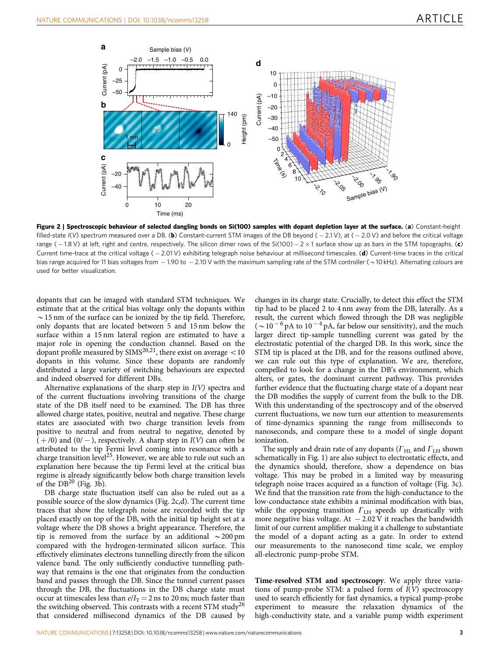<span id="page-2-0"></span>

Figure 2 | Spectroscopic behaviour of selected dangling bonds on Si(100) samples with dopant depletion layer at the surface. (a) Constant-height filled-state  $I(V)$  spectrum measured over a DB. (b) Constant-current STM images of the DB beyond ( $-2.1$ V), at ( $-2.0$  V) and before the critical voltage range ( – 1.8 V) at left, right and centre, respectively. The silicon dimer rows of the Si(100) – 2  $\times$  1 surface show up as bars in the STM topographs. (c) Current time-trace at the critical voltage  $(-2.01 \vee)$  exhibiting telegraph noise behaviour at millisecond timescales. (d) Current-time traces in the critical bias range acquired for 11 bias voltages from  $-1.90$  to  $-2.10$  V with the maximum sampling rate of the STM controller ( $\sim$ 10 kHz). Alternating colours are used for better visualization.

dopants that can be imaged with standard STM techniques. We estimate that at the critical bias voltage only the dopants within  $\sim$  15 nm of the surface can be ionized by the tip field. Therefore, only dopants that are located between 5 and 15 nm below the surface within a 15 nm lateral region are estimated to have a major role in opening the conduction channel. Based on the dopant profile measured by SIMS<sup>20,21</sup>, there exist on average  $<$  10 dopants in this volume. Since these dopants are randomly distributed a large variety of switching behaviours are expected and indeed observed for different DBs.

Alternative explanations of the sharp step in  $I(V)$  spectra and of the current fluctuations involving transitions of the charge state of the DB itself need to be examined. The DB has three allowed charge states, positive, neutral and negative. These charge states are associated with two charge transition levels from positive to neutral and from neutral to negative, denoted by  $( + 0)$  and  $(0/ -)$ , respectively. A sharp step in  $I(V)$  can often be attributed to the tip Fermi level coming into resonance with a charge transition level<sup>25</sup>. However, we are able to rule out such an explanation here because the tip Fermi level at the critical bias regime is already significantly below both charge transition levels of the  $DB^{20}$  $DB^{20}$  $DB^{20}$  [\(Fig. 3b](#page-3-0)).

DB charge state fluctuation itself can also be ruled out as a possible source of the slow dynamics (Fig. 2c,d). The current time traces that show the telegraph noise are recorded with the tip placed exactly on top of the DB, with the initial tip height set at a voltage where the DB shows a bright appearance. Therefore, the tip is removed from the surface by an additional  $\sim$  200 pm compared with the hydrogen-terminated silicon surface. This effectively eliminates electrons tunnelling directly from the silicon valence band. The only sufficiently conductive tunnelling pathway that remains is the one that originates from the conduction band and passes through the DB. Since the tunnel current passes through the DB, the fluctuations in the DB charge state must occur at timescales less than  $e/I_T = 2$  ns to 20 ns; much faster than the switching observed. This contrasts with a recent STM study<sup>26</sup> that considered millisecond dynamics of the DB caused by

changes in its charge state. Crucially, to detect this effect the STM tip had to be placed 2 to 4 nm away from the DB, laterally. As a result, the current which flowed through the DB was negligible  $({\sim}10^{-6}$  pA to  $10^{-4}$  pA, far below our sensitivity), and the much larger direct tip-sample tunnelling current was gated by the electrostatic potential of the charged DB. In this work, since the STM tip is placed at the DB, and for the reasons outlined above, we can rule out this type of explanation. We are, therefore, compelled to look for a change in the DB's environment, which alters, or gates, the dominant current pathway. This provides further evidence that the fluctuating charge state of a dopant near the DB modifies the supply of current from the bulk to the DB. With this understanding of the spectroscopy and of the observed current fluctuations, we now turn our attention to measurements of time-dynamics spanning the range from milliseconds to nanoseconds, and compare these to a model of single dopant ionization.

The supply and drain rate of any dopants ( $\Gamma$ <sub>HL</sub> and  $\Gamma$ <sub>LH</sub> shown schematically in [Fig. 1](#page-1-0)) are also subject to electrostatic effects, and the dynamics should, therefore, show a dependence on bias voltage. This may be probed in a limited way by measuring telegraph noise traces acquired as a function of voltage [\(Fig. 3c](#page-3-0)). We find that the transition rate from the high-conductance to the low-conductance state exhibits a minimal modification with bias, while the opposing transition  $\Gamma$ <sub>LH</sub> speeds up drastically with more negative bias voltage. At  $-2.02 \text{ V}$  it reaches the bandwidth limit of our current amplifier making it a challenge to substantiate the model of a dopant acting as a gate. In order to extend our measurements to the nanosecond time scale, we employ all-electronic pump-probe STM.

Time-resolved STM and spectroscopy. We apply three variations of pump-probe STM: a pulsed form of  $I(V)$  spectroscopy used to search efficiently for fast dynamics, a typical pump-probe experiment to measure the relaxation dynamics of the high-conductivity state, and a variable pump width experiment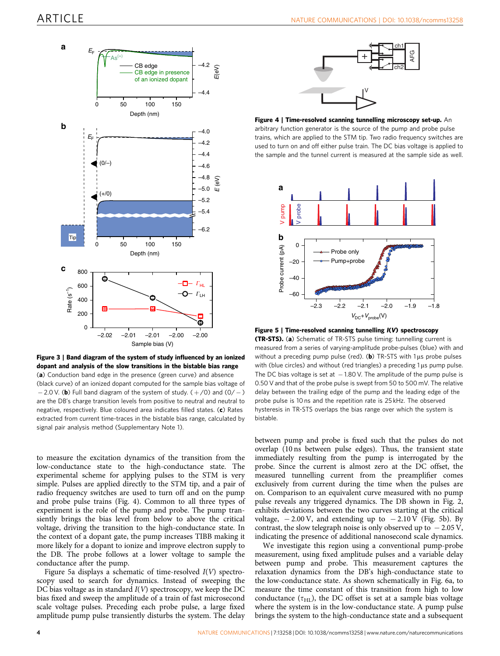<span id="page-3-0"></span>

Figure 3 | Band diagram of the system of study influenced by an ionized dopant and analysis of the slow transitions in the bistable bias range (a) Conduction band edge in the presence (green curve) and absence (black curve) of an ionized dopant computed for the sample bias voltage of  $-2.0$  V. (b) Full band diagram of the system of study. ( $+$ /0) and (0/ $-$ )

are the DB's charge transition levels from positive to neutral and neutral to negative, respectively. Blue coloured area indicates filled states. (c) Rates extracted from current time-traces in the bistable bias range, calculated by signal pair analysis method (Supplementary Note 1).

to measure the excitation dynamics of the transition from the low-conductance state to the high-conductance state. The experimental scheme for applying pulses to the STM is very simple. Pulses are applied directly to the STM tip, and a pair of radio frequency switches are used to turn off and on the pump and probe pulse trains (Fig. 4). Common to all three types of experiment is the role of the pump and probe. The pump transiently brings the bias level from below to above the critical voltage, driving the transition to the high-conductance state. In the context of a dopant gate, the pump increases TIBB making it more likely for a dopant to ionize and improve electron supply to the DB. The probe follows at a lower voltage to sample the conductance after the pump.

Figure 5a displays a schematic of time-resolved  $I(V)$  spectroscopy used to search for dynamics. Instead of sweeping the DC bias voltage as in standard  $I(V)$  spectroscopy, we keep the DC bias fixed and sweep the amplitude of a train of fast microsecond scale voltage pulses. Preceding each probe pulse, a large fixed amplitude pump pulse transiently disturbs the system. The delay



Figure 4 | Time-resolved scanning tunnelling microscopy set-up. An arbitrary function generator is the source of the pump and probe pulse trains, which are applied to the STM tip. Two radio frequency switches are used to turn on and off either pulse train. The DC bias voltage is applied to the sample and the tunnel current is measured at the sample side as well.



Figure 5 | Time-resolved scanning tunnelling I(V) spectroscopy

(TR-STS). (a) Schematic of TR-STS pulse timing: tunnelling current is measured from a series of varying-amplitude probe-pulses (blue) with and without a preceding pump pulse (red). (**b**) TR-STS with 1  $\mu$ s probe pulses with (blue circles) and without (red triangles) a preceding 1 us pump pulse. The DC bias voltage is set at  $-1.80$  V. The amplitude of the pump pulse is 0.50 V and that of the probe pulse is swept from 50 to 500 mV. The relative delay between the trailing edge of the pump and the leading edge of the probe pulse is 10 ns and the repetition rate is 25 kHz. The observed hysteresis in TR-STS overlaps the bias range over which the system is bistable.

between pump and probe is fixed such that the pulses do not overlap (10 ns between pulse edges). Thus, the transient state immediately resulting from the pump is interrogated by the probe. Since the current is almost zero at the DC offset, the measured tunnelling current from the preamplifier comes exclusively from current during the time when the pulses are on. Comparison to an equivalent curve measured with no pump pulse reveals any triggered dynamics. The DB shown in [Fig. 2,](#page-2-0) exhibits deviations between the two curves starting at the critical voltage,  $-2.00 \text{ V}$ , and extending up to  $-2.10 \text{ V}$  (Fig. 5b). By contrast, the slow telegraph noise is only observed up to  $-2.05$  V, indicating the presence of additional nanosecond scale dynamics.

We investigate this region using a conventional pump-probe measurement, using fixed amplitude pulses and a variable delay between pump and probe. This measurement captures the relaxation dynamics from the DB's high-conductance state to the low-conductance state. As shown schematically in [Fig. 6a,](#page-4-0) to measure the time constant of this transition from high to low conductance  $(\tau_{HL})$ , the DC offset is set at a sample bias voltage where the system is in the low-conductance state. A pump pulse brings the system to the high-conductance state and a subsequent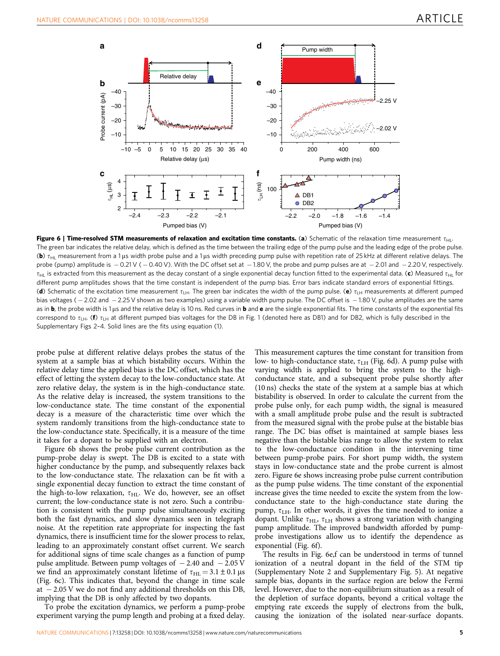<span id="page-4-0"></span>

Figure 6 | Time-resolved STM measurements of relaxation and excitation time constants. (a) Schematic of the relaxation time measurement  $\tau_{\text{H}}$ . The green bar indicates the relative delay, which is defined as the time between the trailing edge of the pump pulse and the leading edge of the probe pulse. (b)  $\tau_{\text{HI}}$  measurement from a 1 µs width probe pulse and a 1 µs width preceding pump pulse with repetition rate of 25 kHz at different relative delays. The probe (pump) amplitude is  $-0.21$  V ( $-0.40$  V). With the DC offset set at  $-1.80$  V, the probe and pump pulses are at  $-2.01$  and  $-2.20$  V, respectively.  $\tau_{HII}$  is extracted from this measurement as the decay constant of a single exponential decay function fitted to the experimental data. (c) Measured  $\tau_{HII}$  for different pump amplitudes shows that the time constant is independent of the pump bias. Error bars indicate standard errors of exponential fittings. (d) Schematic of the excitation time measurement  $\tau_{LH}$ . The green bar indicates the width of the pump pulse. (e)  $\tau_{LH}$  measurements at different pumped bias voltages ( $-2.02$  and  $-2.25$  V shown as two examples) using a variable width pump pulse. The DC offset is  $-1.80$  V, pulse amplitudes are the same as in **b**, the probe width is 1 us and the relative delay is 10 ns. Red curves in **b** and **e** are the single exponential fits. The time constants of the exponential fits correspond to  $\tau_{LH}$ . (f)  $\tau_{LH}$  at different pumped bias voltages for the DB in [Fig. 1](#page-1-0) (denoted here as DB1) and for DB2, which is fully described in the Supplementary Figs 2–4. Solid lines are the fits using equation (1).

probe pulse at different relative delays probes the status of the system at a sample bias at which bistability occurs. Within the relative delay time the applied bias is the DC offset, which has the effect of letting the system decay to the low-conductance state. At zero relative delay, the system is in the high-conductance state. As the relative delay is increased, the system transitions to the low-conductance state. The time constant of the exponential decay is a measure of the characteristic time over which the system randomly transitions from the high-conductance state to the low-conductance state. Specifically, it is a measure of the time it takes for a dopant to be supplied with an electron.

Figure 6b shows the probe pulse current contribution as the pump-probe delay is swept. The DB is excited to a state with higher conductance by the pump, and subsequently relaxes back to the low-conductance state. The relaxation can be fit with a single exponential decay function to extract the time constant of the high-to-low relaxation,  $\tau_{\rm HL}$ . We do, however, see an offset current; the low-conductance state is not zero. Such a contribution is consistent with the pump pulse simultaneously exciting both the fast dynamics, and slow dynamics seen in telegraph noise. At the repetition rate appropriate for inspecting the fast dynamics, there is insufficient time for the slower process to relax, leading to an approximately constant offset current. We search for additional signs of time scale changes as a function of pump pulse amplitude. Between pump voltages of  $-2.40$  and  $-2.05$  V we find an approximately constant lifetime of  $\tau_{HL} = 3.1 \pm 0.1 \,\mu s$ (Fig. 6c). This indicates that, beyond the change in time scale at  $-2.05$  V we do not find any additional thresholds on this DB, implying that the DB is only affected by two dopants.

To probe the excitation dynamics, we perform a pump-probe experiment varying the pump length and probing at a fixed delay.

This measurement captures the time constant for transition from low- to high-conductance state,  $\tau$ <sub>LH</sub> (Fig. 6d). A pump pulse with varying width is applied to bring the system to the highconductance state, and a subsequent probe pulse shortly after (10 ns) checks the state of the system at a sample bias at which bistability is observed. In order to calculate the current from the probe pulse only, for each pump width, the signal is measured with a small amplitude probe pulse and the result is subtracted from the measured signal with the probe pulse at the bistable bias range. The DC bias offset is maintained at sample biases less negative than the bistable bias range to allow the system to relax to the low-conductance condition in the intervening time between pump-probe pairs. For short pump width, the system stays in low-conductance state and the probe current is almost zero. Figure 6e shows increasing probe pulse current contribution as the pump pulse widens. The time constant of the exponential increase gives the time needed to excite the system from the lowconductance state to the high-conductance state during the pump,  $\tau$ <sub>LH</sub>. In other words, it gives the time needed to ionize a dopant. Unlike  $\tau_{\text{HL}}$ ,  $\tau_{\text{LH}}$  shows a strong variation with changing pump amplitude. The improved bandwidth afforded by pumpprobe investigations allow us to identify the dependence as exponential (Fig. 6f).

The results in Fig. 6e,f can be understood in terms of tunnel ionization of a neutral dopant in the field of the STM tip (Supplementary Note 2 and Supplementary Fig. 5). At negative sample bias, dopants in the surface region are below the Fermi level. However, due to the non-equilibrium situation as a result of the depletion of surface dopants, beyond a critical voltage the emptying rate exceeds the supply of electrons from the bulk, causing the ionization of the isolated near-surface dopants.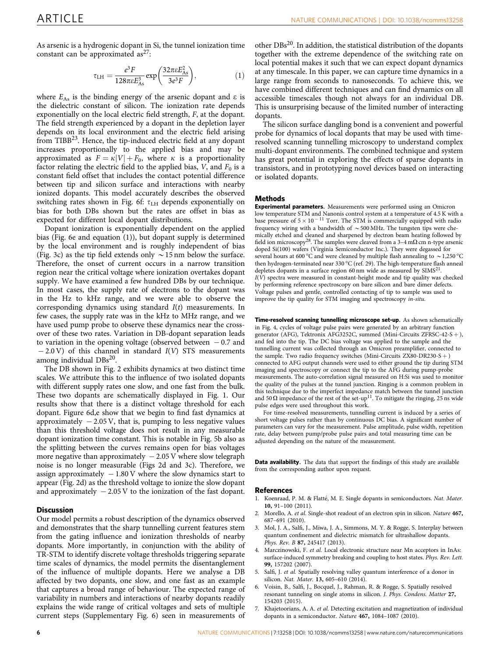<span id="page-5-0"></span>As arsenic is a hydrogenic dopant in Si, the tunnel ionization time constant can be approximated  $as^{27}$ :

$$
\tau_{\text{LH}} = \frac{e^3 F}{128\pi e E_{\text{As}}^3} \exp\left(\frac{32\pi e E_{\text{As}}^2}{3e^3 F}\right),\tag{1}
$$

where  $E_{As}$  is the binding energy of the arsenic dopant and  $\varepsilon$  is the dielectric constant of silicon. The ionization rate depends exponentially on the local electric field strength, F, at the dopant. The field strength experienced by a dopant in the depletion layer depends on its local environment and the electric field arising from TIBB $^{23}$ . Hence, the tip-induced electric field at any dopant increases proportionally to the applied bias and may be approximated as  $F = \kappa |V| + F_0$ , where  $\kappa$  is a proportionality factor relating the electric field to the applied bias,  $V$ , and  $F_0$  is a constant field offset that includes the contact potential difference between tip and silicon surface and interactions with nearby ionized dopants. This model accurately describes the observed switching rates shown in [Fig. 6f:](#page-4-0)  $\tau$ <sub>LH</sub> depends exponentially on bias for both DBs shown but the rates are offset in bias as expected for different local dopant distributions.

Dopant ionization is exponentially dependent on the applied bias ([Fig. 6e](#page-4-0) and equation (1)), but dopant supply is determined by the local environment and is roughly independent of bias ([Fig. 3c](#page-3-0)) as the tip field extends only  $\sim$  15 nm below the surface. Therefore, the onset of current occurs in a narrow transition region near the critical voltage where ionization overtakes dopant supply. We have examined a few hundred DBs by our technique. In most cases, the supply rate of electrons to the dopant was in the Hz to kHz range, and we were able to observe the corresponding dynamics using standard  $I(t)$  measurements. In few cases, the supply rate was in the kHz to MHz range, and we have used pump probe to observe these dynamics near the crossover of these two rates. Variation in DB-dopant separation leads to variation in the opening voltage (observed between  $-0.7$  and  $-2.0$  V) of this channel in standard  $I(V)$  STS measurements among individual  $DBs<sup>20</sup>$  $DBs<sup>20</sup>$  $DBs<sup>20</sup>$ .

The DB shown in [Fig. 2](#page-2-0) exhibits dynamics at two distinct time scales. We attribute this to the influence of two isolated dopants with different supply rates one slow, and one fast from the bulk. These two dopants are schematically displayed in [Fig. 1.](#page-1-0) Our results show that there is a distinct voltage threshold for each dopant. [Figure 6d,e](#page-4-0) show that we begin to find fast dynamics at approximately  $-2.05$  V, that is, pumping to less negative values than this threshold voltage does not result in any measurable dopant ionization time constant. This is notable in [Fig. 5b](#page-3-0) also as the splitting between the curves remains open for bias voltages more negative than approximately  $-2.05$  V where slow telegraph noise is no longer measurable [\(Figs 2d and 3c\)](#page-2-0). Therefore, we assign approximately  $-1.80$  V where the slow dynamics start to appear ([Fig. 2d](#page-2-0)) as the threshold voltage to ionize the slow dopant and approximately  $-2.05$  V to the ionization of the fast dopant.

## **Discussion**

Our model permits a robust description of the dynamics observed and demonstrates that the sharp tunnelling current features stem from the gating influence and ionization thresholds of nearby dopants. More importantly, in conjunction with the ability of TR-STM to identify discrete voltage thresholds triggering separate time scales of dynamics, the model permits the disentanglement of the influence of multiple dopants. Here we analyse a DB affected by two dopants, one slow, and one fast as an example that captures a broad range of behaviour. The expected range of variability in numbers and interactions of nearby dopants readily explains the wide range of critical voltages and sets of multiple current steps (Supplementary Fig. 6) seen in measurements of

other DBs[20](#page-6-0). In addition, the statistical distribution of the dopants together with the extreme dependence of the switching rate on local potential makes it such that we can expect dopant dynamics at any timescale. In this paper, we can capture time dynamics in a large range from seconds to nanoseconds. To achieve this, we have combined different techniques and can find dynamics on all accessible timescales though not always for an individual DB. This is unsurprising because of the limited number of interacting dopants.

The silicon surface dangling bond is a convenient and powerful probe for dynamics of local dopants that may be used with timeresolved scanning tunnelling microscopy to understand complex multi-dopant environments. The combined technique and system has great potential in exploring the effects of sparse dopants in transistors, and in prototyping novel devices based on interacting or isolated dopants.

#### Methods

Experimental parameters. Measurements were performed using an Omicron low temperature STM and Nanonis control system at a temperature of 4.5 K with a base pressure of  $5 \times 10^{-11}$  Torr. The STM is commercially equipped with radio frequency wiring with a bandwidth of  $\sim$  500 MHz. The tungsten tips were chemically etched and cleaned and sharpened by electron beam heating followed by field ion microscopy<sup>[28](#page-6-0)</sup>. The samples were cleaved from a 3-4 m $\Omega$  cm n-type arsenic doped Si(100) wafers (Virginia Semiconductor Inc.). They were degassed for several hours at 600 °C and were cleaned by multiple flash annealing to  $\sim$  1,250 °C then hydrogen-terminated near 330 °C ([ref. 29](#page-6-0)). The high-temperature flash anneal depletes dopants in a surface region 60 nm wide as measured by SIMS<sup>21</sup>  $I(V)$  spectra were measured in constant-height mode and tip quality was checked by performing reference spectroscopy on bare silicon and bare dimer defects. Voltage pulses and gentle, controlled contacting of tip to sample was used to improve the tip quality for STM imaging and spectroscopy in-situ.

Time-resolved scanning tunnelling microscope set-up. As shown schematically in [Fig. 4](#page-3-0), cycles of voltage pulse pairs were generated by an arbitrary function generator (AFG), Tektronix AFG3252C, summed (Mini-Circuits ZFRSC-42-S +), and fed into the tip. The DC bias voltage was applied to the sample and the tunnelling current was collected through an Omicron preamplifier, connected to the sample. Two radio frequency switches (Mini-Circuits ZX80-DR230-S +) connected to AFG output channels were used to either ground the tip during STM imaging and spectroscopy or connect the tip to the AFG during pump-probe measurements. The auto-correlation signal measured on H:Si was used to monitor the quality of the pulses at the tunnel junction. Ringing is a common problem in this technique due to the imperfect impedance match between the tunnel junction and  $50 \Omega$  impedance of the rest of the set-up<sup>[11](#page-6-0)</sup>. To mitigate the ringing, 25 ns wide pulse edges were used throughout this work.

For time-resolved measurements, tunnelling current is induced by a series of short voltage pulses rather than by continuous DC bias. A significant number of parameters can vary for the measurement. Pulse amplitude, pulse width, repetition rate, delay between pump/probe pulse pairs and total measuring time can be adjusted depending on the nature of the measurement.

Data availability. The data that support the findings of this study are available from the corresponding author upon request.

#### References

- 1. Koenraad, P. M. & Flatté, M. E. Single dopants in semiconductors. Nat. Mater. 10, 91–100 (2011).
- 2. Morello, A. et al. Single-shot readout of an electron spin in silicon. Nature 467, 687–691 (2010).
- 3. Mol, J. A., Salfi, J., Miwa, J. A., Simmons, M. Y. & Rogge, S. Interplay between quantum confinement and dielectric mismatch for ultrashallow dopants. Phys. Rev. B 87, 245417 (2013).
- 4. Marczinowski, F. et al. Local electronic structure near Mn acceptors in InAs: surface-induced symmetry breaking and coupling to host states. Phys. Rev. Lett. 99, 157202 (2007).
- Salfi, J. et al. Spatially resolving valley quantum interference of a donor in silicon. Nat. Mater. 13, 605–610 (2014).
- 6. Voisin, B., Salfi, J., Bocquel, J., Rahman, R. & Rogge, S. Spatially resolved resonant tunneling on single atoms in silicon. J. Phys. Condens. Matter 27, 154203 (2015).
- 7. Khajetoorians, A. A. et al. Detecting excitation and magnetization of individual dopants in a semiconductor. Nature 467, 1084–1087 (2010).